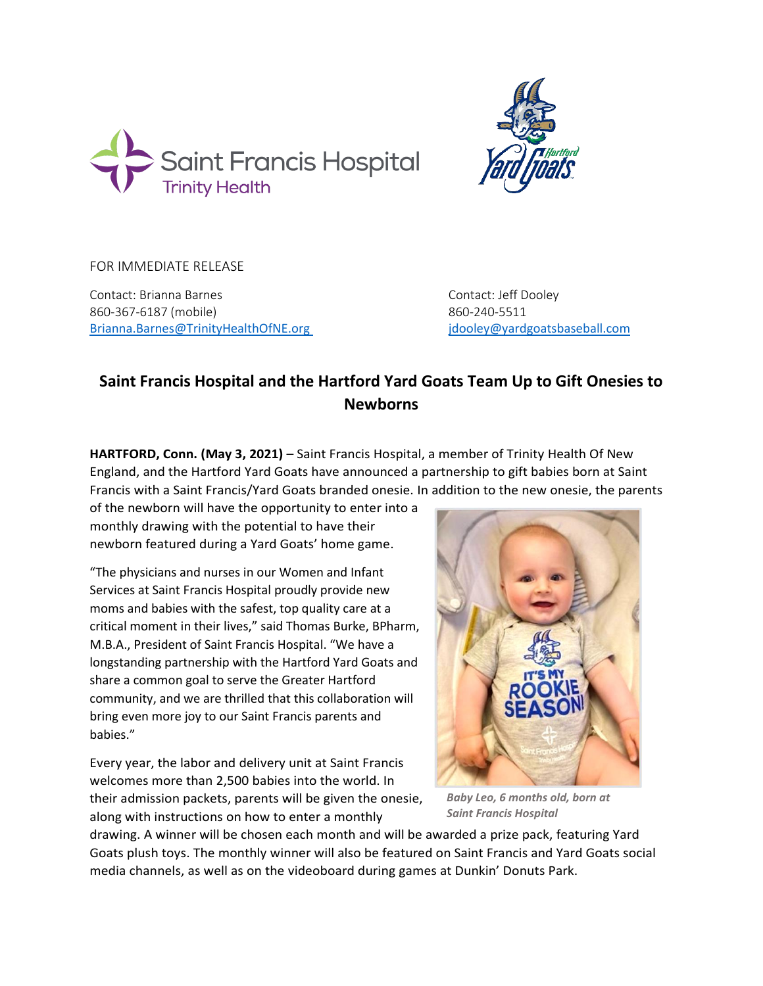



FOR IMMEDIATE RELEASE

Contact: Brianna Barnes Contact: Jeff Dooley 860-367-6187 (mobile) 860-240-5511 [Brianna.Barnes@TrinityHealthOfNE.org](mailto:Brianna.Barnes@TrinityHealthOfNE.org) [jdooley@yardgoatsbaseball.com](mailto:jdooley@yardgoatsbaseball.com)

## **Saint Francis Hospital and the Hartford Yard Goats Team Up to Gift Onesies to Newborns**

**HARTFORD, Conn. (May 3, 2021)** – Saint Francis Hospital, a member of Trinity Health Of New England, and the Hartford Yard Goats have announced a partnership to gift babies born at Saint Francis with a Saint Francis/Yard Goats branded onesie. In addition to the new onesie, the parents

of the newborn will have the opportunity to enter into a monthly drawing with the potential to have their newborn featured during a Yard Goats' home game.

"The physicians and nurses in our Women and Infant Services at Saint Francis Hospital proudly provide new moms and babies with the safest, top quality care at a critical moment in their lives," said Thomas Burke, BPharm, M.B.A., President of Saint Francis Hospital. "We have a longstanding partnership with the Hartford Yard Goats and share a common goal to serve the Greater Hartford community, and we are thrilled that this collaboration will bring even more joy to our Saint Francis parents and babies."

Every year, the labor and delivery unit at Saint Francis welcomes more than 2,500 babies into the world. In their admission packets, parents will be given the onesie, along with instructions on how to enter a monthly



*Baby Leo, 6 months old, born at Saint Francis Hospital*

drawing. A winner will be chosen each month and will be awarded a prize pack, featuring Yard Goats plush toys. The monthly winner will also be featured on Saint Francis and Yard Goats social media channels, as well as on the videoboard during games at Dunkin' Donuts Park.